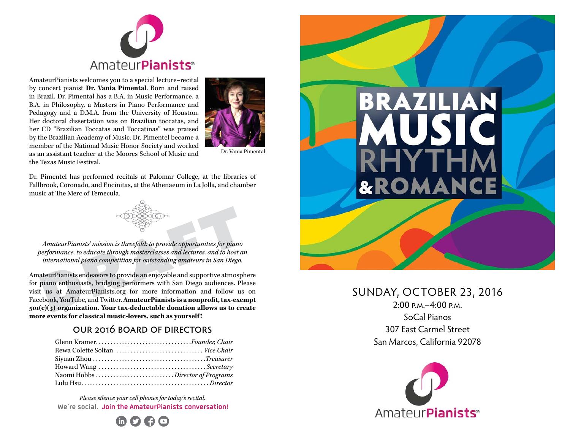

AmateurPianists welcomes you to a special lecture–recital by concert pianist **Dr. Vania Pimental**. Born and raised in Brazil, Dr. Pimental has a B.A. in Music Performance, a B.A. in Philosophy, a Masters in Piano Performance and Pedagogy and a D.M.A. from the University of Houston. Her doctoral dissertation was on Brazilian toccatas, and her CD "Brazilian Toccatas and Toccatinas" was praised by the Brazilian Academy of Music. Dr. Pimentel became a member of the National Music Honor Society and worked as an assistant teacher at the Moores School of Music and the Texas Music Festival.



Dr. Vania Pimental

Dr. Pimentel has performed recitals at Palomar College, at the libraries of Fallbrook, Coronado, and Encinitas, at the Athenaeum in La Jolla, and chamber music at The Merc of Temecula.



*AmateurPianists' mission is threefold: to provide opportunities for piano performance, to educate through masterclasses and lectures, and to host an international piano competition for outstanding amateurs in San Diego.*

AmateurPianists endeavors to provide an enjoyable and supportive atmosphere for piano enthusiasts, bridging performers with San Diego audiences. Please visit us at AmateurPianists.org for more information and follow us on Facebook, YouTube, and Twitter. **AmateurPianists is a nonprofit, tax-exempt 501(c)(3) organization. Your tax-deductable donation allows us to create more events for classical music-lovers, such as yourself !**

#### our 2016 board of directors

| Glenn KramerFounder, Chair      |  |
|---------------------------------|--|
| Rewa Colette Soltan  Vice Chair |  |
|                                 |  |
|                                 |  |
|                                 |  |
|                                 |  |

*Please silence your cell phones for today's recital.*  **We're social. Join the AmateurPianists conversation!**





# SUNDAY, OCTOBER 23, 2016

 $2:00 \text{ p.M.} - 4:00 \text{ p.M.}$ SoCal Pianos 307 East Carmel Street San Marcos, California 92078